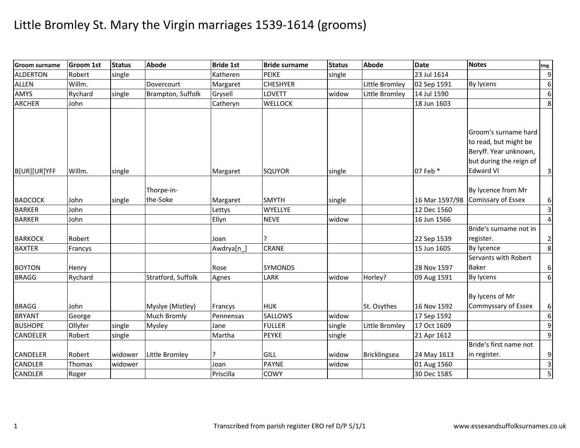| <b>Groom surname</b> | <b>Groom 1st</b> | <b>Status</b> | <b>Abode</b>       | <b>Bride 1st</b> | <b>Bride surname</b> | <b>Status</b> | <b>Abode</b>   | <b>Date</b>    | <b>Notes</b>              | Img                     |
|----------------------|------------------|---------------|--------------------|------------------|----------------------|---------------|----------------|----------------|---------------------------|-------------------------|
| <b>ALDERTON</b>      | Robert           | single        |                    | Katheren         | <b>PEIKE</b>         | single        |                | 23 Jul 1614    |                           | $\overline{9}$          |
| <b>ALLEN</b>         | Willm.           |               | Dovercourt         | Margaret         | <b>CHESHYER</b>      |               | Little Bromley | 02 Sep 1591    | By lycens                 | 6                       |
| AMYS                 | Rychard          | single        | Brampton, Suffolk  | Grysell          | LOVETT               | widow         | Little Bromley | 14 Jul 1590    |                           | 6                       |
| <b>ARCHER</b>        | John             |               |                    | Catheryn         | <b>WELLOCK</b>       |               |                | 18 Jun 1603    |                           | 8                       |
|                      |                  |               |                    |                  |                      |               |                |                |                           |                         |
|                      |                  |               |                    |                  |                      |               |                |                |                           |                         |
|                      |                  |               |                    |                  |                      |               |                |                | Groom's surname hard      |                         |
|                      |                  |               |                    |                  |                      |               |                |                | to read, but might be     |                         |
|                      |                  |               |                    |                  |                      |               |                |                | Beryff. Year unknown,     |                         |
|                      |                  |               |                    |                  |                      |               |                |                | but during the reign of   |                         |
| B[UR][UR]YFF         | Willm.           | single        |                    | Margaret         | <b>SQUYOR</b>        | single        |                | 07 Feb *       | <b>Edward VI</b>          | $\overline{3}$          |
|                      |                  |               |                    |                  |                      |               |                |                |                           |                         |
|                      |                  |               | Thorpe-in-         |                  |                      |               |                |                | By lycence from Mr        |                         |
| <b>BADCOCK</b>       | John             | single        | the-Soke           | Margaret         | <b>SMYTH</b>         | single        |                | 16 Mar 1597/98 | <b>Comissary of Essex</b> | 6                       |
| <b>BARKER</b>        | John             |               |                    | Lettys           | WYELLYE              |               |                | 12 Dec 1560    |                           | $\overline{3}$          |
| <b>BARKER</b>        | John             |               |                    | Ellyn            | <b>NEVE</b>          | widow         |                | 16 Jun 1566    |                           | $\overline{4}$          |
|                      |                  |               |                    |                  |                      |               |                |                | Bride's surname not in    |                         |
| <b>BARKOCK</b>       | Robert           |               |                    | Joan             |                      |               |                | 22 Sep 1539    | register.                 | $\overline{2}$          |
| <b>BAXTER</b>        | Francys          |               |                    | Awdrya[n_]       | <b>CRANE</b>         |               |                | 15 Jun 1605    | By lycence                | 8                       |
|                      |                  |               |                    |                  |                      |               |                |                | Servants with Robert      |                         |
| <b>BOYTON</b>        | Henry            |               |                    | Rose             | <b>SYMONDS</b>       |               |                | 28 Nov 1597    | <b>Baker</b>              | 6                       |
| <b>BRAGG</b>         | Rychard          |               | Stratford, Suffolk | Agnes            | LARK                 | widow         | Horley?        | 09 Aug 1591    | By lycens                 | $\boldsymbol{6}$        |
|                      |                  |               |                    |                  |                      |               |                |                |                           |                         |
|                      |                  |               |                    |                  |                      |               |                |                | By lycens of Mr           |                         |
| <b>BRAGG</b>         | John             |               | Myslye (Mistley)   | Francys          | <b>HUK</b>           |               | St. Osythes    | 16 Nov 1592    | Commyssary of Essex       | 6                       |
| <b>BRYANT</b>        | George           |               | <b>Much Bromly</b> | Pennensas        | <b>SALLOWS</b>       | widow         |                | 17 Sep 1592    |                           | $\boldsymbol{6}$        |
| <b>BUSHOPE</b>       | Ollyfer          | single        | <b>Mysley</b>      | Jane             | <b>FULLER</b>        | single        | Little Bromley | 17 Oct 1609    |                           | $9\,$                   |
| <b>CANDELER</b>      | Robert           | single        |                    | Martha           | <b>PEYKE</b>         | single        |                | 21 Apr 1612    |                           | $\boldsymbol{9}$        |
|                      |                  |               |                    |                  |                      |               |                |                | Bride's first name not    |                         |
| CANDELER             | Robert           | widower       | Little Bromley     |                  | <b>GILL</b>          | widow         | Bricklingsea   | 24 May 1613    | in register.              | $\boldsymbol{9}$        |
| <b>CANDLER</b>       | Thomas           | widower       |                    | Joan             | <b>PAYNE</b>         | widow         |                | 01 Aug 1560    |                           | $\overline{\mathbf{3}}$ |
| <b>CANDLER</b>       | Roger            |               |                    | Priscilla        | <b>COWY</b>          |               |                | 30 Dec 1585    |                           | 5                       |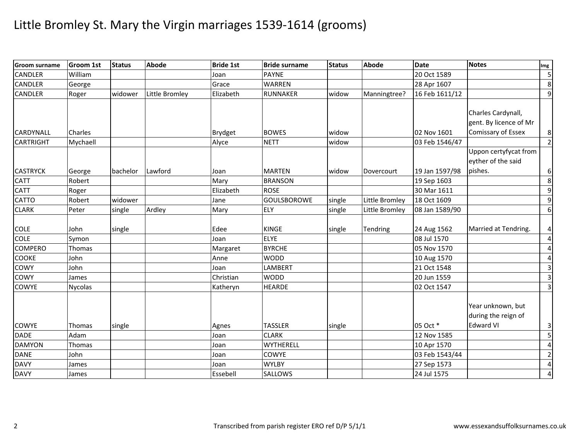| <b>Groom surname</b> | <b>Groom 1st</b> | <b>Status</b> | <b>Abode</b>   | <b>Bride 1st</b> | <b>Bride surname</b> | <b>Status</b> | <b>Abode</b>   | <b>Date</b>    | <b>Notes</b>           | Img                     |
|----------------------|------------------|---------------|----------------|------------------|----------------------|---------------|----------------|----------------|------------------------|-------------------------|
| <b>CANDLER</b>       | William          |               |                | Joan             | <b>PAYNE</b>         |               |                | 20 Oct 1589    |                        | $\overline{\mathbf{5}}$ |
| <b>CANDLER</b>       | George           |               |                | Grace            | <b>WARREN</b>        |               |                | 28 Apr 1607    |                        | $\bf 8$                 |
| <b>CANDLER</b>       | Roger            | widower       | Little Bromley | Elizabeth        | <b>RUNNAKER</b>      | widow         | Manningtree?   | 16 Feb 1611/12 |                        | $\overline{9}$          |
|                      |                  |               |                |                  |                      |               |                |                |                        |                         |
|                      |                  |               |                |                  |                      |               |                |                | Charles Cardynall,     |                         |
|                      |                  |               |                |                  |                      |               |                |                | gent. By licence of Mr |                         |
| CARDYNALL            | Charles          |               |                | <b>Brydget</b>   | <b>BOWES</b>         | widow         |                | 02 Nov 1601    | Comissary of Essex     | 8 <sup>1</sup>          |
| <b>CARTRIGHT</b>     | Mychaell         |               |                | Alyce            | <b>NETT</b>          | widow         |                | 03 Feb 1546/47 |                        | $\overline{2}$          |
|                      |                  |               |                |                  |                      |               |                |                | Uppon certyfycat from  |                         |
|                      |                  |               |                |                  |                      |               |                |                | eyther of the said     |                         |
| <b>CASTRYCK</b>      | George           | bachelor      | Lawford        | Joan             | <b>MARTEN</b>        | widow         | Dovercourt     | 19 Jan 1597/98 | pishes.                | $6 \mid$                |
| <b>CATT</b>          | Robert           |               |                | Mary             | <b>BRANSON</b>       |               |                | 19 Sep 1603    |                        | $\bf{8}$                |
| <b>CATT</b>          | Roger            |               |                | Elizabeth        | <b>ROSE</b>          |               |                | 30 Mar 1611    |                        | $\overline{9}$          |
| <b>CATTO</b>         | Robert           | widower       |                | Jane             | <b>GOULSBOROWE</b>   | single        | Little Bromley | 18 Oct 1609    |                        | $\overline{9}$          |
| <b>CLARK</b>         | Peter            | single        | Ardley         | Mary             | ELY                  | single        | Little Bromley | 08 Jan 1589/90 |                        | $\sigma$                |
|                      |                  |               |                |                  |                      |               |                |                |                        |                         |
| <b>COLE</b>          | John             | single        |                | Edee             | <b>KINGE</b>         | single        | Tendring       | 24 Aug 1562    | Married at Tendring.   | 4                       |
| <b>COLE</b>          | Symon            |               |                | Joan             | <b>ELYE</b>          |               |                | 08 Jul 1570    |                        | $\pmb{4}$               |
| <b>COMPERO</b>       | Thomas           |               |                | Margaret         | <b>BYRCHE</b>        |               |                | 05 Nov 1570    |                        | $\pmb{4}$               |
| <b>COOKE</b>         | John             |               |                | Anne             | <b>WODD</b>          |               |                | 10 Aug 1570    |                        | $\overline{\mathbf{4}}$ |
| COWY                 | John             |               |                | Joan             | LAMBERT              |               |                | 21 Oct 1548    |                        | $\overline{\mathbf{3}}$ |
| <b>COWY</b>          | James            |               |                | Christian        | <b>WODD</b>          |               |                | 20 Jun 1559    |                        | $\overline{3}$          |
| <b>COWYE</b>         | <b>Nycolas</b>   |               |                | Katheryn         | <b>HEARDE</b>        |               |                | 02 Oct 1547    |                        | ω                       |
|                      |                  |               |                |                  |                      |               |                |                |                        |                         |
|                      |                  |               |                |                  |                      |               |                |                | Year unknown, but      |                         |
|                      |                  |               |                |                  |                      |               |                |                | during the reign of    |                         |
| <b>COWYE</b>         | Thomas           | single        |                | Agnes            | <b>TASSLER</b>       | single        |                | 05 Oct *       | <b>Edward VI</b>       | 3                       |
| <b>DADE</b>          | Adam             |               |                | Joan             | <b>CLARK</b>         |               |                | 12 Nov 1585    |                        | $\overline{\mathbf{5}}$ |
| <b>DAMYON</b>        | <b>Thomas</b>    |               |                | Joan             | <b>WYTHERELL</b>     |               |                | 10 Apr 1570    |                        | $\overline{\mathbf{4}}$ |
| <b>DANE</b>          | John             |               |                | Joan             | COWYE                |               |                | 03 Feb 1543/44 |                        | $\overline{2}$          |
| <b>DAVY</b>          | James            |               |                | Joan             | <b>WYLBY</b>         |               |                | 27 Sep 1573    |                        | $\overline{\mathbf{4}}$ |
| <b>DAVY</b>          | James            |               |                | Essebell         | <b>SALLOWS</b>       |               |                | 24 Jul 1575    |                        | $\overline{\mathbf{4}}$ |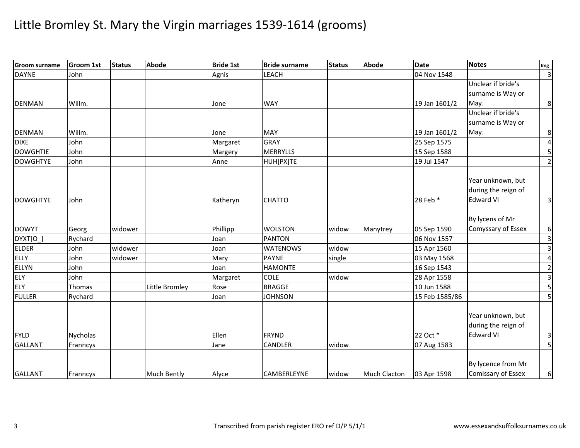| <b>Groom surname</b> | Groom 1st     | <b>Status</b> | Abode              | <b>Bride 1st</b> | <b>Bride surname</b> | <b>Status</b> | <b>Abode</b>        | <b>Date</b>    | <b>Notes</b>                                                 | Img                      |
|----------------------|---------------|---------------|--------------------|------------------|----------------------|---------------|---------------------|----------------|--------------------------------------------------------------|--------------------------|
| <b>DAYNE</b>         | John          |               |                    | Agnis            | <b>LEACH</b>         |               |                     | 04 Nov 1548    |                                                              | $\overline{3}$           |
|                      |               |               |                    |                  |                      |               |                     |                | Unclear if bride's                                           |                          |
|                      |               |               |                    |                  |                      |               |                     |                | surname is Way or                                            |                          |
| <b>DENMAN</b>        | Willm.        |               |                    | Jone             | <b>WAY</b>           |               |                     | 19 Jan 1601/2  | May.                                                         | 8 <sup>1</sup>           |
|                      |               |               |                    |                  |                      |               |                     |                | Unclear if bride's                                           |                          |
|                      |               |               |                    |                  |                      |               |                     |                | surname is Way or                                            |                          |
| <b>DENMAN</b>        | Willm.        |               |                    | Jone             | <b>MAY</b>           |               |                     | 19 Jan 1601/2  | May.                                                         | 8 <sup>1</sup>           |
| <b>DIXE</b>          | John          |               |                    | Margaret         | <b>GRAY</b>          |               |                     | 25 Sep 1575    |                                                              | $\overline{4}$           |
| <b>DOWGHTIE</b>      | John          |               |                    | Margery          | <b>MERRYLLS</b>      |               |                     | 15 Sep 1588    |                                                              | $\overline{5}$           |
| <b>DOWGHTYE</b>      | John          |               |                    | Anne             | HUH[PX]TE            |               |                     | 19 Jul 1547    |                                                              | $\overline{2}$           |
| <b>DOWGHTYE</b>      | John          |               |                    | Katheryn         | <b>CHATTO</b>        |               |                     | 28 Feb *       | Year unknown, but<br>during the reign of<br><b>Edward VI</b> | 3                        |
|                      |               |               |                    |                  |                      |               |                     |                |                                                              |                          |
|                      |               |               |                    |                  |                      |               |                     |                | By lycens of Mr                                              |                          |
| <b>DOWYT</b>         | Georg         | widower       |                    | Phillipp         | <b>WOLSTON</b>       | widow         | Manytrey            | 05 Sep 1590    | Comyssary of Essex                                           | 6 <sup>1</sup>           |
| DYXT[O_              | Rychard       |               |                    | Joan             | <b>PANTON</b>        |               |                     | 06 Nov 1557    |                                                              | $\overline{\mathbf{3}}$  |
| <b>ELDER</b>         | John          | widower       |                    | Joan             | <b>WATENOWS</b>      | widow         |                     | 15 Apr 1560    |                                                              | $\overline{3}$           |
| <b>ELLY</b>          | John          | widower       |                    | Mary             | <b>PAYNE</b>         | single        |                     | 03 May 1568    |                                                              | $\overline{4}$           |
| <b>ELLYN</b>         | John          |               |                    | Joan             | <b>HAMONTE</b>       |               |                     | 16 Sep 1543    |                                                              | $\overline{2}$           |
| <b>ELY</b>           | John          |               |                    | Margaret         | <b>COLE</b>          | widow         |                     | 28 Apr 1558    |                                                              | υ                        |
| ELY                  | <b>Thomas</b> |               | Little Bromley     | Rose             | <b>BRAGGE</b>        |               |                     | 10 Jun 1588    |                                                              |                          |
| <b>FULLER</b>        | Rychard       |               |                    | Joan             | <b>JOHNSON</b>       |               |                     | 15 Feb 1585/86 |                                                              | $\overline{\mathbf{5}}$  |
| <b>FYLD</b>          | Nycholas      |               |                    | Ellen            | <b>FRYND</b>         |               |                     | 22 Oct *       | Year unknown, but<br>during the reign of<br><b>Edward VI</b> | $\overline{3}$           |
| <b>GALLANT</b>       | Franncys      |               |                    | Jane             | CANDLER              | widow         |                     | 07 Aug 1583    |                                                              | $\overline{\phantom{a}}$ |
|                      |               |               |                    |                  |                      |               |                     |                |                                                              |                          |
| <b>GALLANT</b>       | Franncys      |               | <b>Much Bently</b> | Alyce            | <b>CAMBERLEYNE</b>   | widow         | <b>Much Clacton</b> | 03 Apr 1598    | By lycence from Mr<br>Comissary of Essex                     | 6                        |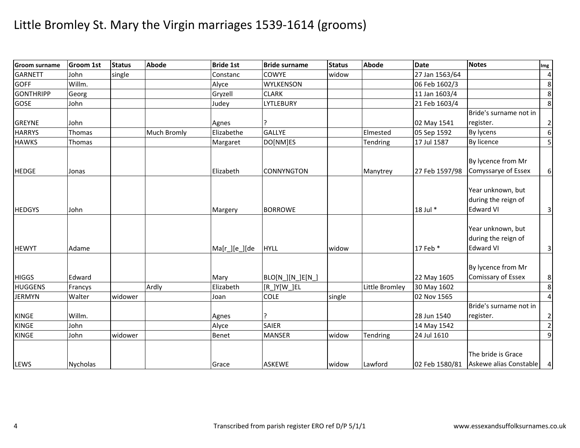| <b>Groom surname</b> | <b>Groom 1st</b> | <b>Status</b> | <b>Abode</b> | <b>Bride 1st</b> | <b>Bride surname</b> | <b>Status</b> | <b>Abode</b>          | <b>Date</b>    | <b>Notes</b>                                                 | Img              |
|----------------------|------------------|---------------|--------------|------------------|----------------------|---------------|-----------------------|----------------|--------------------------------------------------------------|------------------|
| <b>GARNETT</b>       | John             | single        |              | Constanc         | <b>COWYE</b>         | widow         |                       | 27 Jan 1563/64 |                                                              | $\overline{a}$   |
| <b>GOFF</b>          | Willm.           |               |              | Alyce            | <b>WYLKENSON</b>     |               |                       | 06 Feb 1602/3  |                                                              | $\,8\,$          |
| <b>GONTHRIPP</b>     | Georg            |               |              | Gryzell          | <b>CLARK</b>         |               |                       | 11 Jan 1603/4  |                                                              | 8                |
| <b>GOSE</b>          | John             |               |              | Judey            | <b>LYTLEBURY</b>     |               |                       | 21 Feb 1603/4  |                                                              | $\infty$         |
|                      |                  |               |              |                  |                      |               |                       |                | Bride's surname not in                                       |                  |
| <b>GREYNE</b>        | John             |               |              | Agnes            |                      |               |                       | 02 May 1541    | register.                                                    | $\mathbf{2}$     |
| <b>HARRYS</b>        | Thomas           |               | Much Bromly  | Elizabethe       | <b>GALLYE</b>        |               | Elmested              | 05 Sep 1592    | By lycens                                                    | $\boldsymbol{6}$ |
| <b>HAWKS</b>         | Thomas           |               |              | Margaret         | DO[NM]ES             |               | Tendring              | 17 Jul 1587    | By licence                                                   | 5                |
| <b>HEDGE</b>         | Jonas            |               |              | Elizabeth        | <b>CONNYNGTON</b>    |               | Manytrey              | 27 Feb 1597/98 | By lycence from Mr<br>Comyssarye of Essex                    | $6 \mid$         |
| <b>HEDGYS</b>        | John             |               |              | Margery          | <b>BORROWE</b>       |               |                       | 18 Jul *       | Year unknown, but<br>during the reign of<br><b>Edward VI</b> | $\mathbf{3}$     |
| <b>HEWYT</b>         | Adame            |               |              | Ma[r_][e_][de    | <b>HYLL</b>          | widow         |                       | 17 Feb *       | Year unknown, but<br>during the reign of<br><b>Edward VI</b> | $\vert$ 3        |
| <b>HIGGS</b>         | Edward           |               |              | Mary             | BLO[N_][N_]E[N_]     |               |                       | 22 May 1605    | By lycence from Mr<br>Comissary of Essex                     | $\bf 8$          |
| <b>HUGGENS</b>       | Francys          |               | Ardly        | Elizabeth        | [R_]Y[W_]EL          |               | <b>Little Bromley</b> | 30 May 1602    |                                                              | 8                |
| <b>JERMYN</b>        | Walter           | widower       |              | Joan             | <b>COLE</b>          | single        |                       | 02 Nov 1565    |                                                              | $\overline{4}$   |
| <b>KINGE</b>         | Willm.           |               |              | Agnes            |                      |               |                       | 28 Jun 1540    | Bride's surname not in<br>register.                          | $\overline{2}$   |
| <b>KINGE</b>         | John             |               |              | Alyce            | <b>SAIER</b>         |               |                       | 14 May 1542    |                                                              | $\overline{2}$   |
| <b>KINGE</b>         | John             | widower       |              | Benet            | <b>MANSER</b>        | widow         | Tendring              | 24 Jul 1610    |                                                              | $\overline{9}$   |
| LEWS                 | <b>Nycholas</b>  |               |              | Grace            | <b>ASKEWE</b>        | widow         | Lawford               | 02 Feb 1580/81 | The bride is Grace<br>Askewe alias Constable 4               |                  |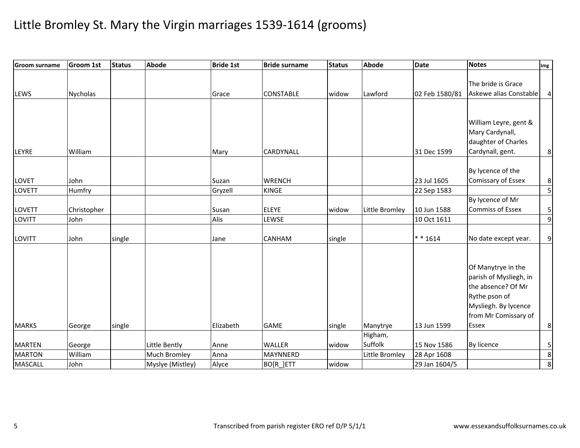| <b>Groom surname</b> | <b>Groom 1st</b> | <b>Status</b> | <b>Abode</b>        | <b>Bride 1st</b> | <b>Bride surname</b> | <b>Status</b> | <b>Abode</b>   | <b>Date</b>    | <b>Notes</b>                                                                                                                                 | Img                     |
|----------------------|------------------|---------------|---------------------|------------------|----------------------|---------------|----------------|----------------|----------------------------------------------------------------------------------------------------------------------------------------------|-------------------------|
| LEWS                 | <b>Nycholas</b>  |               |                     | Grace            | <b>CONSTABLE</b>     | widow         | Lawford        | 02 Feb 1580/81 | The bride is Grace<br>Askewe alias Constable                                                                                                 | $\overline{a}$          |
|                      |                  |               |                     |                  |                      |               |                |                |                                                                                                                                              |                         |
| LEYRE                | William          |               |                     | Mary             | <b>CARDYNALL</b>     |               |                | 31 Dec 1599    | William Leyre, gent &<br>Mary Cardynall,<br>daughter of Charles<br>Cardynall, gent.                                                          | 8 <sup>1</sup>          |
|                      |                  |               |                     |                  |                      |               |                |                |                                                                                                                                              |                         |
| LOVET                | John             |               |                     | Suzan            | <b>WRENCH</b>        |               |                | 23 Jul 1605    | By lycence of the<br><b>Comissary of Essex</b>                                                                                               | 8                       |
| LOVETT               | Humfry           |               |                     | Gryzell          | <b>KINGE</b>         |               |                | 22 Sep 1583    |                                                                                                                                              | $\overline{\mathbf{5}}$ |
| LOVETT               | Christopher      |               |                     | Susan            | <b>ELEYE</b>         | widow         | Little Bromley | 10 Jun 1588    | By lycence of Mr<br><b>Commiss of Essex</b>                                                                                                  | $\mathsf S$             |
| LOVITT               | John             |               |                     | Alis             | <b>LEWSE</b>         |               |                | 10 Oct 1611    |                                                                                                                                              | $\boldsymbol{9}$        |
| LOVITT               | John             | single        |                     | Jane             | <b>CANHAM</b>        | single        |                | $* * 1614$     | No date except year.                                                                                                                         | $\overline{9}$          |
| <b>MARKS</b>         | George           | single        |                     | Elizabeth        | <b>GAME</b>          | single        | Manytrye       | 13 Jun 1599    | Of Manytrye in the<br>parish of Mysliegh, in<br>the absence? Of Mr<br>Rythe pson of<br>Mysliegh. By lycence<br>from Mr Comissary of<br>Essex | 8                       |
|                      |                  |               |                     |                  |                      |               | Higham,        |                |                                                                                                                                              |                         |
| <b>MARTEN</b>        | George           |               | Little Bently       | Anne             | <b>WALLER</b>        | widow         | Suffolk        | 15 Nov 1586    | By licence                                                                                                                                   | $\mathsf S$             |
| <b>MARTON</b>        | William          |               | <b>Much Bromley</b> | Anna             | <b>MAYNNERD</b>      |               | Little Bromley | 28 Apr 1608    |                                                                                                                                              | $\,8\,$                 |
| <b>MASCALL</b>       | John             |               | Myslye (Mistley)    | Alyce            | BO[R_]ETT            | widow         |                | 29 Jan 1604/5  |                                                                                                                                              | $\overline{8}$          |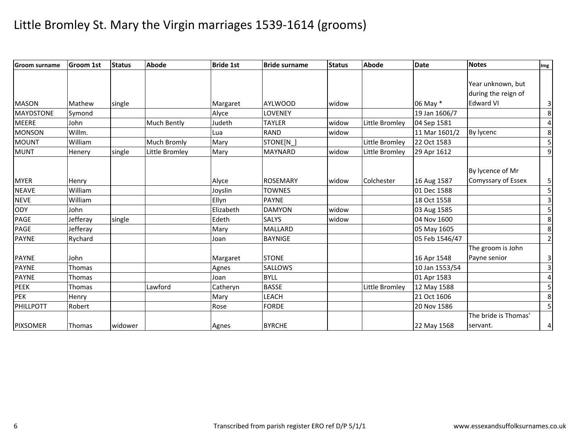| <b>Groom surname</b> | <b>Groom 1st</b> | <b>Status</b> | Abode          | <b>Bride 1st</b> | <b>Bride surname</b> | <b>Status</b> | <b>Abode</b>   | <b>Date</b>    | Notes                | Img                     |
|----------------------|------------------|---------------|----------------|------------------|----------------------|---------------|----------------|----------------|----------------------|-------------------------|
|                      |                  |               |                |                  |                      |               |                |                |                      |                         |
|                      |                  |               |                |                  |                      |               |                |                | Year unknown, but    |                         |
|                      |                  |               |                |                  |                      |               |                |                | during the reign of  |                         |
| <b>MASON</b>         | Mathew           | single        |                | Margaret         | <b>AYLWOOD</b>       | widow         |                | 06 May *       | <b>Edward VI</b>     | $\overline{\mathbf{3}}$ |
| <b>MAYDSTONE</b>     | Symond           |               |                | Alyce            | LOVENEY              |               |                | 19 Jan 1606/7  |                      | $\bf 8$                 |
| <b>MEERE</b>         | John             |               | Much Bently    | Judeth           | <b>TAYLER</b>        | widow         | Little Bromley | 04 Sep 1581    |                      | 4                       |
| <b>MONSON</b>        | Willm.           |               |                | Lua              | <b>RAND</b>          | widow         |                | 11 Mar 1601/2  | By lycenc            | 8                       |
| <b>MOUNT</b>         | William          |               | Much Bromly    | Mary             | STONE[N              |               | Little Bromley | 22 Oct 1583    |                      | 5                       |
| <b>MUNT</b>          | Henery           | single        | Little Bromley | Mary             | <b>MAYNARD</b>       | widow         | Little Bromley | 29 Apr 1612    |                      | $\boldsymbol{9}$        |
|                      |                  |               |                |                  |                      |               |                |                |                      |                         |
|                      |                  |               |                |                  |                      |               |                |                | By lycence of Mr     |                         |
| <b>MYER</b>          | Henry            |               |                | Alyce            | <b>ROSEMARY</b>      | widow         | Colchester     | 16 Aug 1587    | Comyssary of Essex   | 5 <sub>l</sub>          |
| <b>NEAVE</b>         | William          |               |                | Joyslin          | <b>TOWNES</b>        |               |                | 01 Dec 1588    |                      | $\overline{5}$          |
| <b>NEVE</b>          | William          |               |                | Ellyn            | <b>PAYNE</b>         |               |                | 18 Oct 1558    |                      | $\overline{\mathbf{3}}$ |
| <b>ODY</b>           | John             |               |                | Elizabeth        | <b>DAMYON</b>        | widow         |                | 03 Aug 1585    |                      | 5                       |
| PAGE                 | Jefferay         | single        |                | Edeth            | <b>SALYS</b>         | widow         |                | 04 Nov 1600    |                      | 8                       |
| PAGE                 | Jefferay         |               |                | Mary             | <b>MALLARD</b>       |               |                | 05 May 1605    |                      | 8                       |
| <b>PAYNE</b>         | Rychard          |               |                | Joan             | <b>BAYNIGE</b>       |               |                | 05 Feb 1546/47 |                      | $\overline{2}$          |
|                      |                  |               |                |                  |                      |               |                |                | The groom is John    |                         |
| <b>PAYNE</b>         | John             |               |                | Margaret         | <b>STONE</b>         |               |                | 16 Apr 1548    | Payne senior         | $\overline{\mathbf{3}}$ |
| <b>PAYNE</b>         | Thomas           |               |                | Agnes            | SALLOWS              |               |                | 10 Jan 1553/54 |                      | $\mathbf{3}$            |
| <b>PAYNE</b>         | Thomas           |               |                | Joan             | <b>BYLL</b>          |               |                | 01 Apr 1583    |                      | 4                       |
| <b>PEEK</b>          | Thomas           |               | Lawford        | Catheryn         | <b>BASSE</b>         |               | Little Bromley | 12 May 1588    |                      | 5                       |
| <b>PEK</b>           | Henry            |               |                | Mary             | LEACH                |               |                | 21 Oct 1606    |                      | $\bf 8$                 |
| PHILLPOTT            | Robert           |               |                | Rose             | <b>FORDE</b>         |               |                | 20 Nov 1586    |                      | $\overline{5}$          |
|                      |                  |               |                |                  |                      |               |                |                | The bride is Thomas' |                         |
| <b>PIXSOMER</b>      | <b>Thomas</b>    | widower       |                | Agnes            | <b>BYRCHE</b>        |               |                | 22 May 1568    | servant.             | 4 <sub>1</sub>          |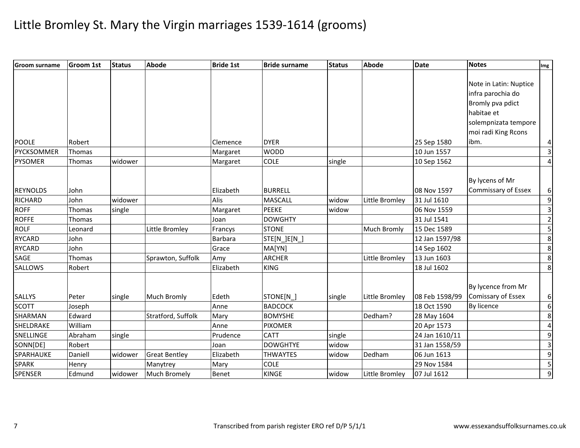| <b>Groom surname</b> | <b>Groom 1st</b> | <b>Status</b> | <b>Abode</b>         | <b>Bride 1st</b> | <b>Bride surname</b> | <b>Status</b> | <b>Abode</b>       | <b>Date</b>    | <b>Notes</b>               | Img                     |
|----------------------|------------------|---------------|----------------------|------------------|----------------------|---------------|--------------------|----------------|----------------------------|-------------------------|
|                      |                  |               |                      |                  |                      |               |                    |                |                            |                         |
|                      |                  |               |                      |                  |                      |               |                    |                | Note in Latin: Nuptice     |                         |
|                      |                  |               |                      |                  |                      |               |                    |                | infra parochia do          |                         |
|                      |                  |               |                      |                  |                      |               |                    |                | Bromly pva pdict           |                         |
|                      |                  |               |                      |                  |                      |               |                    |                | habitae et                 |                         |
|                      |                  |               |                      |                  |                      |               |                    |                | solempnizata tempore       |                         |
|                      |                  |               |                      |                  |                      |               |                    |                | moi radi King Rcons        |                         |
| <b>POOLE</b>         | Robert           |               |                      | Clemence         | <b>DYER</b>          |               |                    | 25 Sep 1580    | ibm.                       | 4                       |
| PYCKSOMMER           | Thomas           |               |                      | Margaret         | <b>WODD</b>          |               |                    | 10 Jun 1557    |                            | $\overline{3}$          |
| <b>PYSOMER</b>       | Thomas           | widower       |                      | Margaret         | <b>COLE</b>          | single        |                    | 10 Sep 1562    |                            | $\overline{4}$          |
|                      |                  |               |                      |                  |                      |               |                    |                |                            |                         |
|                      |                  |               |                      |                  |                      |               |                    |                | By lycens of Mr            |                         |
| <b>REYNOLDS</b>      | John             |               |                      | Elizabeth        | <b>BURRELL</b>       |               |                    | 08 Nov 1597    | <b>Commissary of Essex</b> | 6                       |
| <b>RICHARD</b>       | John             | widower       |                      | Alis             | <b>MASCALL</b>       | widow         | Little Bromley     | 31 Jul 1610    |                            | $\boldsymbol{9}$        |
| <b>ROFF</b>          | Thomas           | single        |                      | Margaret         | <b>PEEKE</b>         | widow         |                    | 06 Nov 1559    |                            | $\overline{\mathbf{3}}$ |
| <b>ROFFE</b>         | Thomas           |               |                      | Joan             | <b>DOWGHTY</b>       |               |                    | 31 Jul 1541    |                            | $\overline{2}$          |
| <b>ROLF</b>          | Leonard          |               | Little Bromley       | Francys          | <b>STONE</b>         |               | <b>Much Bromly</b> | 15 Dec 1589    |                            | $\overline{5}$          |
| <b>RYCARD</b>        | John             |               |                      | <b>Barbara</b>   | STE[N_]E[N_]         |               |                    | 12 Jan 1597/98 |                            | 8                       |
| <b>RYCARD</b>        | John             |               |                      | Grace            | MA[YN]               |               |                    | 14 Sep 1602    |                            | $\overline{8}$          |
| SAGE                 | Thomas           |               | Sprawton, Suffolk    | Amy              | <b>ARCHER</b>        |               | Little Bromley     | 13 Jun 1603    |                            | 8                       |
| <b>SALLOWS</b>       | Robert           |               |                      | Elizabeth        | <b>KING</b>          |               |                    | 18 Jul 1602    |                            | $\overline{8}$          |
|                      |                  |               |                      |                  |                      |               |                    |                |                            |                         |
|                      |                  |               |                      |                  |                      |               |                    |                | By lycence from Mr         |                         |
| <b>SALLYS</b>        | Peter            | single        | Much Bromly          | Edeth            | STONE[N]             | single        | Little Bromley     | 08 Feb 1598/99 | <b>Comissary of Essex</b>  | 6                       |
| <b>SCOTT</b>         | Joseph           |               |                      | Anne             | <b>BADCOCK</b>       |               |                    | 18 Oct 1590    | By licence                 | $\overline{6}$          |
| SHARMAN              | Edward           |               | Stratford, Suffolk   | Mary             | <b>BOMYSHE</b>       |               | Dedham?            | 28 May 1604    |                            | $\,8\,$                 |
| SHELDRAKE            | William          |               |                      | Anne             | <b>PIXOMER</b>       |               |                    | 20 Apr 1573    |                            | $\overline{4}$          |
| SNELLINGE            | Abraham          | single        |                      | Prudence         | <b>CATT</b>          | single        |                    | 24 Jan 1610/11 |                            | 9                       |
| SONN[DE]             | Robert           |               |                      | Joan             | <b>DOWGHTYE</b>      | widow         |                    | 31 Jan 1558/59 |                            | $\overline{\mathbf{3}}$ |
| SPARHAUKE            | Daniell          | widower       | <b>Great Bentley</b> | Elizabeth        | <b>THWAYTES</b>      | widow         | Dedham             | 06 Jun 1613    |                            | $\overline{9}$          |
| <b>SPARK</b>         | Henry            |               | Manytrey             | Mary             | <b>COLE</b>          |               |                    | 29 Nov 1584    |                            | 5                       |
| <b>SPENSER</b>       | Edmund           | widower       | <b>Much Bromely</b>  | <b>Benet</b>     | <b>KINGE</b>         | widow         | Little Bromley     | 07 Jul 1612    |                            | $\overline{9}$          |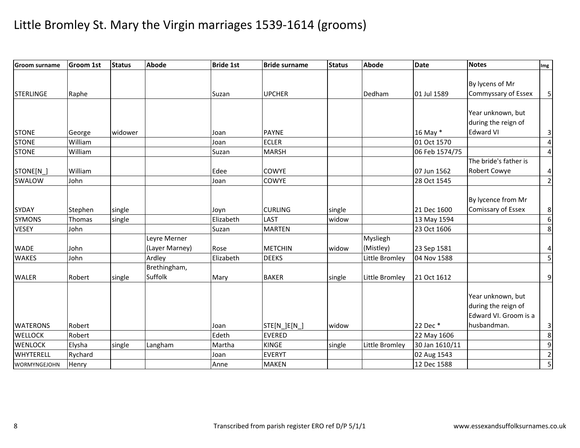| <b>Groom surname</b> | Groom 1st | <b>Status</b> | <b>Abode</b>   | <b>Bride 1st</b> | <b>Bride surname</b> | <b>Status</b> | <b>Abode</b>   | <b>Date</b>    | <b>Notes</b>          | Img                     |
|----------------------|-----------|---------------|----------------|------------------|----------------------|---------------|----------------|----------------|-----------------------|-------------------------|
|                      |           |               |                |                  |                      |               |                |                |                       |                         |
|                      |           |               |                |                  |                      |               |                |                | By lycens of Mr       |                         |
| <b>STERLINGE</b>     | Raphe     |               |                | Suzan            | <b>UPCHER</b>        |               | Dedham         | 01 Jul 1589    | Commyssary of Essex   | 5 <sub>l</sub>          |
|                      |           |               |                |                  |                      |               |                |                |                       |                         |
|                      |           |               |                |                  |                      |               |                |                | Year unknown, but     |                         |
|                      |           |               |                |                  |                      |               |                |                | during the reign of   |                         |
| <b>STONE</b>         | George    | widower       |                | Joan             | <b>PAYNE</b>         |               |                | 16 May *       | <b>Edward VI</b>      | $\mathsf{3}$            |
| <b>STONE</b>         | William   |               |                | Joan             | <b>ECLER</b>         |               |                | 01 Oct 1570    |                       | $\overline{\mathbf{4}}$ |
| <b>STONE</b>         | William   |               |                | Suzan            | <b>MARSH</b>         |               |                | 06 Feb 1574/75 |                       | $\overline{4}$          |
|                      |           |               |                |                  |                      |               |                |                | The bride's father is |                         |
| STONE[N_]            | William   |               |                | Edee             | <b>COWYE</b>         |               |                | 07 Jun 1562    | <b>Robert Cowye</b>   | 4                       |
| SWALOW               | John      |               |                | Joan             | COWYE                |               |                | 28 Oct 1545    |                       | $\overline{2}$          |
|                      |           |               |                |                  |                      |               |                |                |                       |                         |
|                      |           |               |                |                  |                      |               |                |                | By lycence from Mr    |                         |
| <b>SYDAY</b>         | Stephen   | single        |                | Joyn             | <b>CURLING</b>       | single        |                | 21 Dec 1600    | Comissary of Essex    | 8                       |
| <b>SYMONS</b>        | Thomas    | single        |                | Elizabeth        | LAST                 | widow         |                | 13 May 1594    |                       | $\overline{6}$          |
| <b>VESEY</b>         | John      |               |                | Suzan            | <b>MARTEN</b>        |               |                | 23 Oct 1606    |                       | 8                       |
|                      |           |               | Leyre Merner   |                  |                      |               | Mysliegh       |                |                       |                         |
| <b>WADE</b>          | John      |               | (Layer Marney) | Rose             | <b>METCHIN</b>       | widow         | (Mistley)      | 23 Sep 1581    |                       | 4                       |
| <b>WAKES</b>         | John      |               | Ardley         | Elizabeth        | <b>DEEKS</b>         |               | Little Bromley | 04 Nov 1588    |                       | 5                       |
|                      |           |               | Brethingham,   |                  |                      |               |                |                |                       |                         |
| <b>WALER</b>         | Robert    | single        | Suffolk        | Mary             | <b>BAKER</b>         | single        | Little Bromley | 21 Oct 1612    |                       | $\overline{9}$          |
|                      |           |               |                |                  |                      |               |                |                |                       |                         |
|                      |           |               |                |                  |                      |               |                |                | Year unknown, but     |                         |
|                      |           |               |                |                  |                      |               |                |                | during the reign of   |                         |
|                      |           |               |                |                  |                      |               |                |                | Edward VI. Groom is a |                         |
| <b>WATERONS</b>      | Robert    |               |                | Joan             | STE[N_]E[N_]         | widow         |                | 22 Dec *       | husbandman.           | 3                       |
| <b>WELLOCK</b>       | Robert    |               |                | Edeth            | <b>EVERED</b>        |               |                | 22 May 1606    |                       | 8                       |
| <b>WENLOCK</b>       | Elysha    | single        | Langham        | Martha           | <b>KINGE</b>         | single        | Little Bromley | 30 Jan 1610/11 |                       | $\overline{9}$          |
| <b>WHYTERELL</b>     | Rychard   |               |                | Joan             | <b>EVERYT</b>        |               |                | 02 Aug 1543    |                       | $\overline{2}$          |
| WORMYNGEJOHN         | Henry     |               |                | Anne             | <b>MAKEN</b>         |               |                | 12 Dec 1588    |                       | $\overline{5}$          |